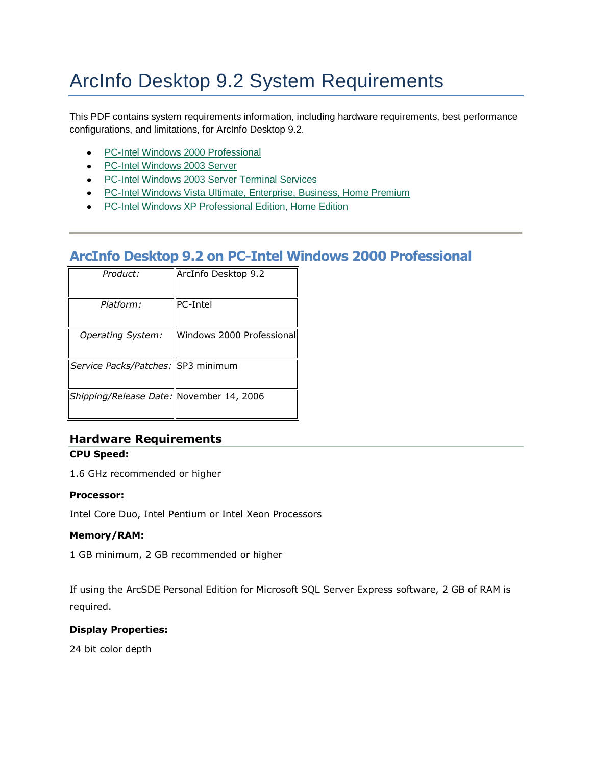# ArcInfo Desktop 9.2 System Requirements

This PDF contains system requirements information, including hardware requirements, best performance configurations, and limitations, for ArcInfo Desktop 9.2.

- PC-Intel Windows 2000 Professional
- PC-Intel Windows 2003 Server
- PC-Intel Windows 2003 Server Terminal Services
- PC-Intel Windows Vista Ultimate, Enterprise, Business, Home Premium
- PC-Intel Windows XP Professional Edition, Home Edition

## **ArcInfo Desktop 9.2 on PC-Intel Windows 2000 Professional**

| Product:                                 | ArcInfo Desktop 9.2       |
|------------------------------------------|---------------------------|
| Platform:                                | <b>PC-Intel</b>           |
| Operating System:                        | Windows 2000 Professional |
| Service Packs/Patches: SP3 minimum       |                           |
| Shipping/Release Date: November 14, 2006 |                           |

## **Hardware Requirements**

## **CPU Speed:**

1.6 GHz recommended or higher

## **Processor:**

Intel Core Duo, Intel Pentium or Intel Xeon Processors

## **Memory/RAM:**

1 GB minimum, 2 GB recommended or higher

If using the ArcSDE Personal Edition for Microsoft SQL Server Express software, 2 GB of RAM is required.

## **Display Properties:**

24 bit color depth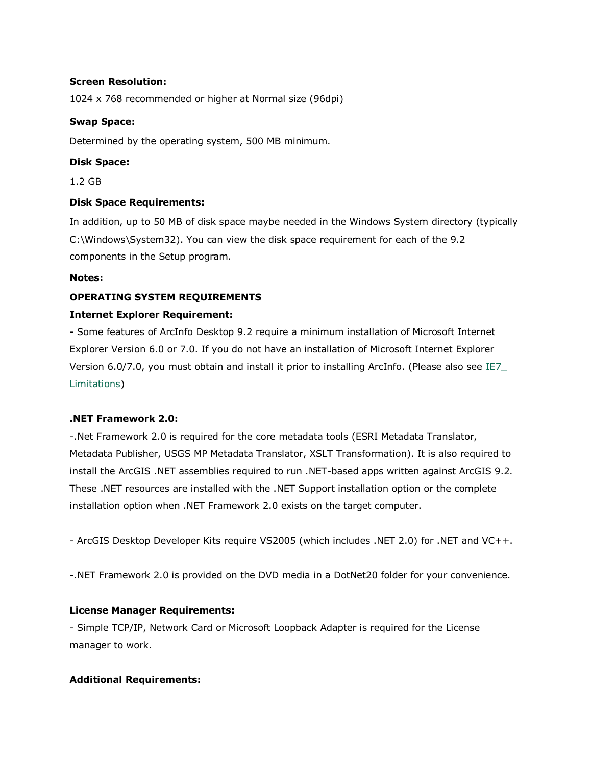## **Screen Resolution:**

1024 x 768 recommended or higher at Normal size (96dpi)

## **Swap Space:**

Determined by the operating system, 500 MB minimum.

## **Disk Space:**

1.2 GB

## **Disk Space Requirements:**

In addition, up to 50 MB of disk space maybe needed in the Windows System directory (typically C:\Windows\System32). You can view the disk space requirement for each of the 9.2 components in the Setup program.

## **Notes:**

## **OPERATING SYSTEM REQUIREMENTS**

## **Internet Explorer Requirement:**

- Some features of ArcInfo Desktop 9.2 require a minimum installation of Microsoft Internet Explorer Version 6.0 or 7.0. If you do not have an installation of Microsoft Internet Explorer Version 6.0/7.0, you must obtain and install it prior to installing ArcInfo. (Please also see IE7 [Limitations\)](http://support.esri.com/index.cfm?fa=knowledgebase.systemRequirements.list&PN=ArcInfo+Desktop&pName=ArcInfo+Desktop&PVName=&PID=43&count=1&pvid=352&VID=943#IE7_Limitations)

## **.NET Framework 2.0:**

-.Net Framework 2.0 is required for the core metadata tools (ESRI Metadata Translator, Metadata Publisher, USGS MP Metadata Translator, XSLT Transformation). It is also required to install the ArcGIS .NET assemblies required to run .NET-based apps written against ArcGIS 9.2. These .NET resources are installed with the .NET Support installation option or the complete installation option when .NET Framework 2.0 exists on the target computer.

- ArcGIS Desktop Developer Kits require VS2005 (which includes .NET 2.0) for .NET and VC++.

-.NET Framework 2.0 is provided on the DVD media in a DotNet20 folder for your convenience.

## **License Manager Requirements:**

- Simple TCP/IP, Network Card or Microsoft Loopback Adapter is required for the License manager to work.

## **Additional Requirements:**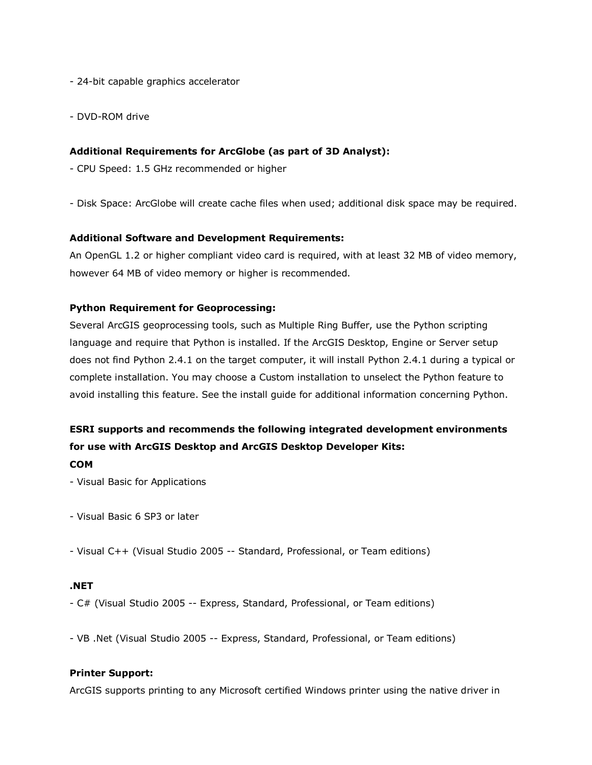- 24-bit capable graphics accelerator
- DVD-ROM drive

## **Additional Requirements for ArcGlobe (as part of 3D Analyst):**

- CPU Speed: 1.5 GHz recommended or higher
- Disk Space: ArcGlobe will create cache files when used; additional disk space may be required.

## **Additional Software and Development Requirements:**

An OpenGL 1.2 or higher compliant video card is required, with at least 32 MB of video memory, however 64 MB of video memory or higher is recommended.

## **Python Requirement for Geoprocessing:**

Several ArcGIS geoprocessing tools, such as Multiple Ring Buffer, use the Python scripting language and require that Python is installed. If the ArcGIS Desktop, Engine or Server setup does not find Python 2.4.1 on the target computer, it will install Python 2.4.1 during a typical or complete installation. You may choose a Custom installation to unselect the Python feature to avoid installing this feature. See the install guide for additional information concerning Python.

## **ESRI supports and recommends the following integrated development environments for use with ArcGIS Desktop and ArcGIS Desktop Developer Kits: COM**

- Visual Basic for Applications
- Visual Basic 6 SP3 or later
- Visual C++ (Visual Studio 2005 -- Standard, Professional, or Team editions)

## **.NET**

- C# (Visual Studio 2005 -- Express, Standard, Professional, or Team editions)

- VB .Net (Visual Studio 2005 -- Express, Standard, Professional, or Team editions)

## **Printer Support:**

ArcGIS supports printing to any Microsoft certified Windows printer using the native driver in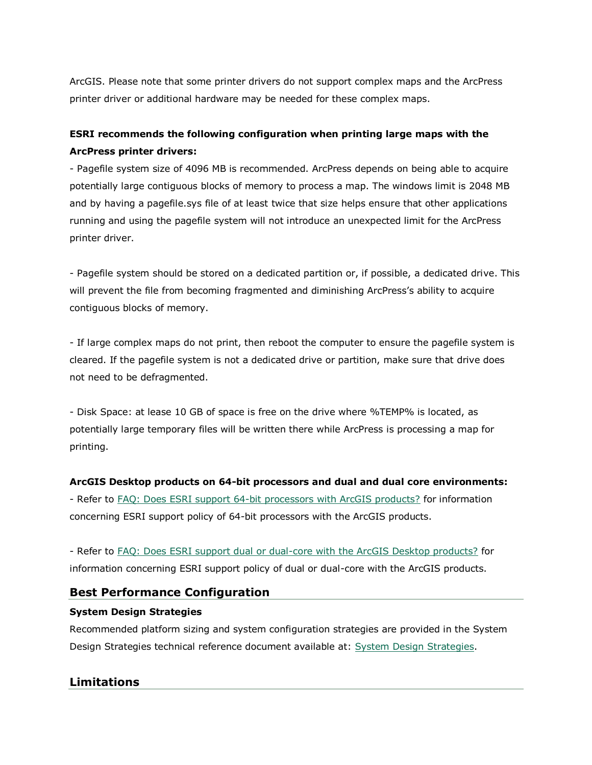ArcGIS. Please note that some printer drivers do not support complex maps and the ArcPress printer driver or additional hardware may be needed for these complex maps.

## **ESRI recommends the following configuration when printing large maps with the ArcPress printer drivers:**

- Pagefile system size of 4096 MB is recommended. ArcPress depends on being able to acquire potentially large contiguous blocks of memory to process a map. The windows limit is 2048 MB and by having a pagefile.sys file of at least twice that size helps ensure that other applications running and using the pagefile system will not introduce an unexpected limit for the ArcPress printer driver.

- Pagefile system should be stored on a dedicated partition or, if possible, a dedicated drive. This will prevent the file from becoming fragmented and diminishing ArcPress's ability to acquire contiguous blocks of memory.

- If large complex maps do not print, then reboot the computer to ensure the pagefile system is cleared. If the pagefile system is not a dedicated drive or partition, make sure that drive does not need to be defragmented.

- Disk Space: at lease 10 GB of space is free on the drive where %TEMP% is located, as potentially large temporary files will be written there while ArcPress is processing a map for printing.

## **ArcGIS Desktop products on 64-bit processors and dual and dual core environments:**

- Refer to [FAQ: Does ESRI support 64-bit processors with ArcGIS products?](http://support.esri.com/index.cfm?fa=knowledgebase.techarticles.articleShow&d=29391) for information concerning ESRI support policy of 64-bit processors with the ArcGIS products.

- Refer to FAQ: Does ESRI [support dual or dual-core with the ArcGIS Desktop products?](http://support.esri.com/index.cfm?fa=knowledgebase.techarticles.articleShow&d=31903) for information concerning ESRI support policy of dual or dual-core with the ArcGIS products.

## **Best Performance Configuration**

## **System Design Strategies**

Recommended platform sizing and system configuration strategies are provided in the System Design Strategies technical reference document available at: [System Design Strategies.](http://www.esri.com/library/whitepapers/pdfs/sysdesig.pdf)

## **Limitations**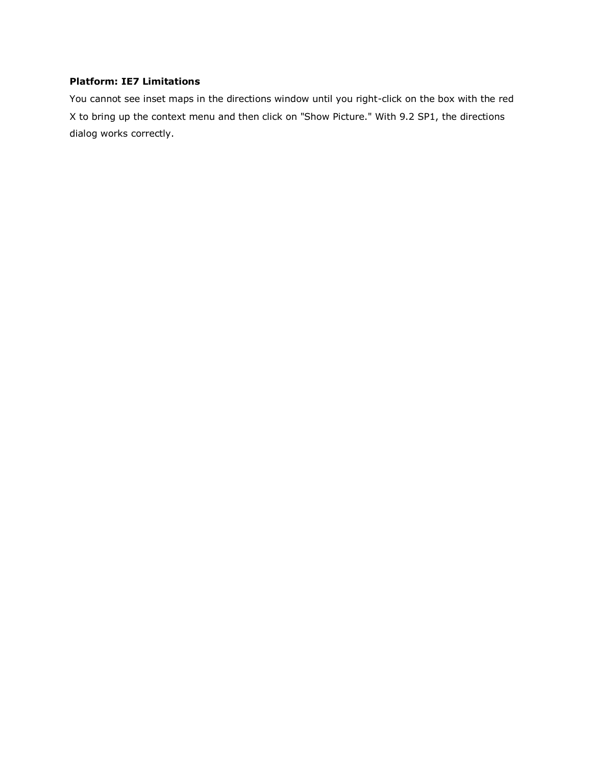## **Platform: IE7 Limitations**

You cannot see inset maps in the directions window until you right-click on the box with the red X to bring up the context menu and then click on "Show Picture." With 9.2 SP1, the directions dialog works correctly.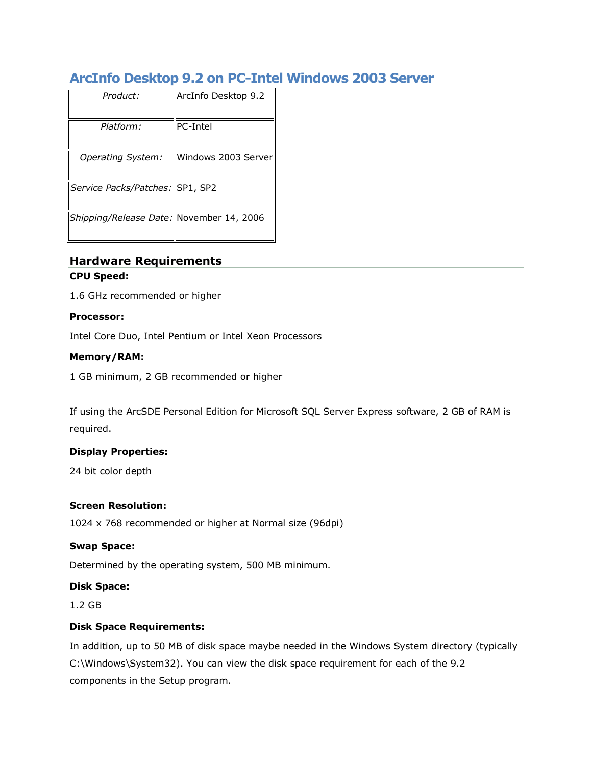## **ArcInfo Desktop 9.2 on PC-Intel Windows 2003 Server**

| Product:                                 | ArcInfo Desktop 9.2  |
|------------------------------------------|----------------------|
| Platform:                                | PC-Intel             |
| Operating System:                        | Windows 2003 Serverl |
| Service Packs/Patches: SP1, SP2          |                      |
| Shipping/Release Date: November 14, 2006 |                      |

## **Hardware Requirements**

## **CPU Speed:**

1.6 GHz recommended or higher

## **Processor:**

Intel Core Duo, Intel Pentium or Intel Xeon Processors

## **Memory/RAM:**

1 GB minimum, 2 GB recommended or higher

If using the ArcSDE Personal Edition for Microsoft SQL Server Express software, 2 GB of RAM is required.

## **Display Properties:**

24 bit color depth

## **Screen Resolution:**

1024 x 768 recommended or higher at Normal size (96dpi)

## **Swap Space:**

Determined by the operating system, 500 MB minimum.

## **Disk Space:**

1.2 GB

## **Disk Space Requirements:**

In addition, up to 50 MB of disk space maybe needed in the Windows System directory (typically C:\Windows\System32). You can view the disk space requirement for each of the 9.2 components in the Setup program.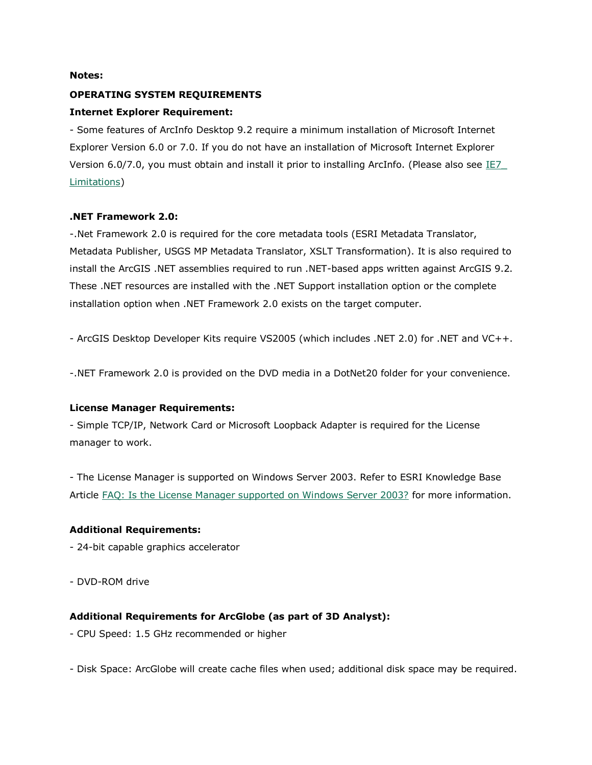#### **Notes:**

## **OPERATING SYSTEM REQUIREMENTS**

## **Internet Explorer Requirement:**

- Some features of ArcInfo Desktop 9.2 require a minimum installation of Microsoft Internet Explorer Version 6.0 or 7.0. If you do not have an installation of Microsoft Internet Explorer Version 6.0/7.0, you must obtain and install it prior to installing ArcInfo. (Please also see  $IE7$ </u> [Limitations\)](http://support.esri.com/index.cfm?fa=knowledgebase.systemRequirements.list&PN=ArcInfo+Desktop&pName=ArcInfo+Desktop&PVName=&PID=43&count=1&pvid=352&VID=1173#IE7_Limitations)

## **.NET Framework 2.0:**

-.Net Framework 2.0 is required for the core metadata tools (ESRI Metadata Translator, Metadata Publisher, USGS MP Metadata Translator, XSLT Transformation). It is also required to install the ArcGIS .NET assemblies required to run .NET-based apps written against ArcGIS 9.2. These .NET resources are installed with the .NET Support installation option or the complete installation option when .NET Framework 2.0 exists on the target computer.

- ArcGIS Desktop Developer Kits require VS2005 (which includes .NET 2.0) for .NET and VC++.

-.NET Framework 2.0 is provided on the DVD media in a DotNet20 folder for your convenience.

## **License Manager Requirements:**

- Simple TCP/IP, Network Card or Microsoft Loopback Adapter is required for the License manager to work.

- The License Manager is supported on Windows Server 2003. Refer to ESRI Knowledge Base Article [FAQ: Is the License Manager supported on Windows Server 2003?](http://support.esri.com/index.cfm?fa=knowledgebase.techArticles.articleShow&d=26429) for more information.

## **Additional Requirements:**

- 24-bit capable graphics accelerator
- DVD-ROM drive

## **Additional Requirements for ArcGlobe (as part of 3D Analyst):**

- CPU Speed: 1.5 GHz recommended or higher
- Disk Space: ArcGlobe will create cache files when used; additional disk space may be required.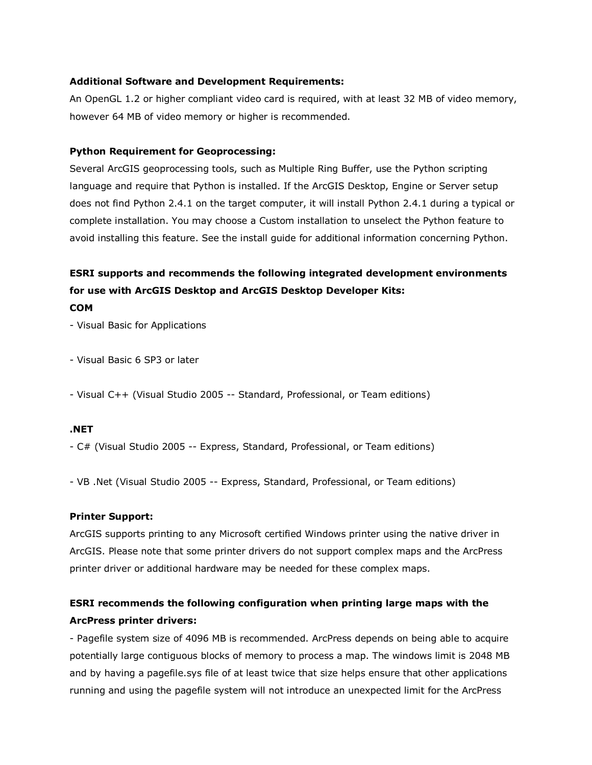## **Additional Software and Development Requirements:**

An OpenGL 1.2 or higher compliant video card is required, with at least 32 MB of video memory, however 64 MB of video memory or higher is recommended.

## **Python Requirement for Geoprocessing:**

Several ArcGIS geoprocessing tools, such as Multiple Ring Buffer, use the Python scripting language and require that Python is installed. If the ArcGIS Desktop, Engine or Server setup does not find Python 2.4.1 on the target computer, it will install Python 2.4.1 during a typical or complete installation. You may choose a Custom installation to unselect the Python feature to avoid installing this feature. See the install guide for additional information concerning Python.

## **ESRI supports and recommends the following integrated development environments for use with ArcGIS Desktop and ArcGIS Desktop Developer Kits:**

**COM**

- Visual Basic for Applications

- Visual Basic 6 SP3 or later

- Visual C++ (Visual Studio 2005 -- Standard, Professional, or Team editions)

## **.NET**

- C# (Visual Studio 2005 -- Express, Standard, Professional, or Team editions)

- VB .Net (Visual Studio 2005 -- Express, Standard, Professional, or Team editions)

## **Printer Support:**

ArcGIS supports printing to any Microsoft certified Windows printer using the native driver in ArcGIS. Please note that some printer drivers do not support complex maps and the ArcPress printer driver or additional hardware may be needed for these complex maps.

## **ESRI recommends the following configuration when printing large maps with the ArcPress printer drivers:**

- Pagefile system size of 4096 MB is recommended. ArcPress depends on being able to acquire potentially large contiguous blocks of memory to process a map. The windows limit is 2048 MB and by having a pagefile.sys file of at least twice that size helps ensure that other applications running and using the pagefile system will not introduce an unexpected limit for the ArcPress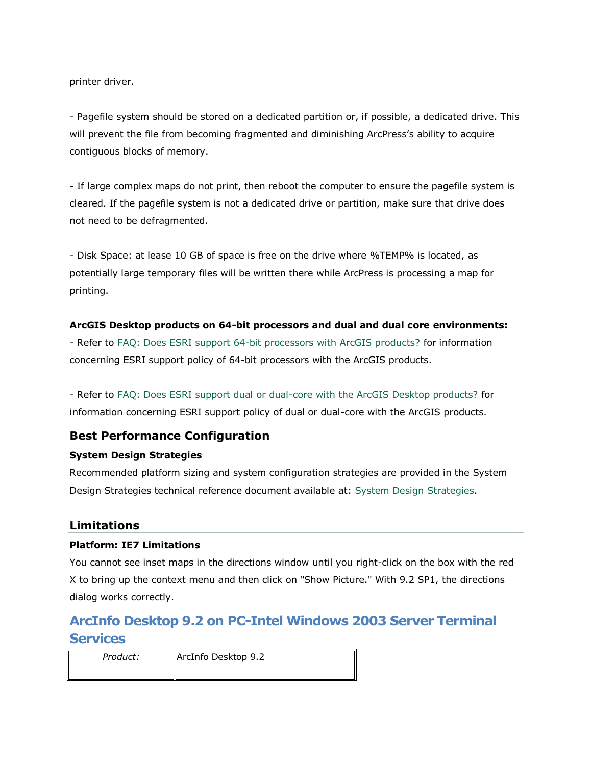printer driver.

- Pagefile system should be stored on a dedicated partition or, if possible, a dedicated drive. This will prevent the file from becoming fragmented and diminishing ArcPress's ability to acquire contiguous blocks of memory.

- If large complex maps do not print, then reboot the computer to ensure the pagefile system is cleared. If the pagefile system is not a dedicated drive or partition, make sure that drive does not need to be defragmented.

- Disk Space: at lease 10 GB of space is free on the drive where %TEMP% is located, as potentially large temporary files will be written there while ArcPress is processing a map for printing.

## **ArcGIS Desktop products on 64-bit processors and dual and dual core environments:**

- Refer to [FAQ: Does ESRI support 64-bit processors with ArcGIS products?](http://support.esri.com/index.cfm?fa=knowledgebase.techarticles.articleShow&d=29391) for information concerning ESRI support policy of 64-bit processors with the ArcGIS products.

- Refer to [FAQ: Does ESRI support dual or dual-core with the ArcGIS Desktop products?](http://support.esri.com/index.cfm?fa=knowledgebase.techarticles.articleShow&d=31903) for information concerning ESRI support policy of dual or dual-core with the ArcGIS products.

## **Best Performance Configuration**

## **System Design Strategies**

Recommended platform sizing and system configuration strategies are provided in the System Design Strategies technical reference document available at: [System Design Strategies.](http://www.esri.com/library/whitepapers/pdfs/sysdesig.pdf)

## **Limitations**

## **Platform: IE7 Limitations**

You cannot see inset maps in the directions window until you right-click on the box with the red X to bring up the context menu and then click on "Show Picture." With 9.2 SP1, the directions dialog works correctly.

## **ArcInfo Desktop 9.2 on PC-Intel Windows 2003 Server Terminal Services**

| Product: | ArcInfo Desktop 9.2 |
|----------|---------------------|
|          |                     |
|          |                     |
|          |                     |
|          |                     |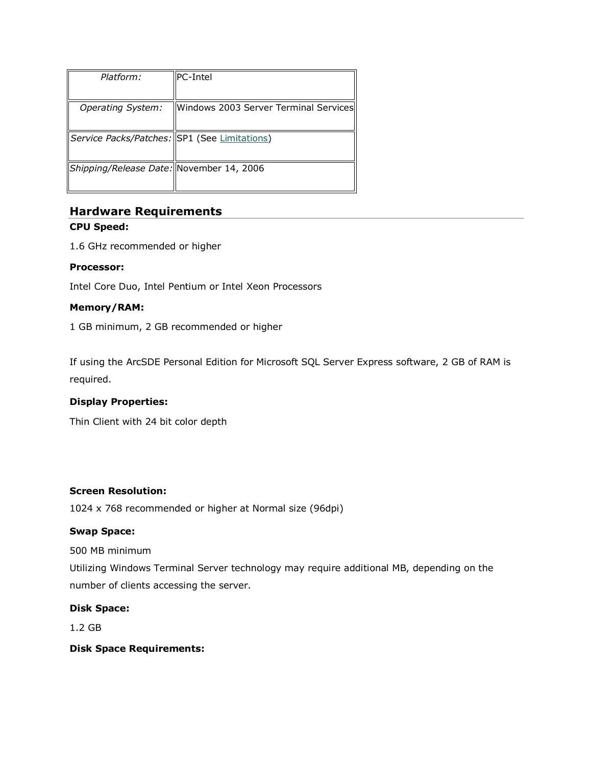| Platform:                                    | llPC-Intel                            |
|----------------------------------------------|---------------------------------------|
|                                              |                                       |
| <b>Operating System:</b>                     | Windows 2003 Server Terminal Services |
|                                              |                                       |
| Service Packs/Patches: SP1 (See Limitations) |                                       |
|                                              |                                       |
| Shipping/Release Date: November 14, 2006     |                                       |
|                                              |                                       |

## **Hardware Requirements**

## **CPU Speed:**

1.6 GHz recommended or higher

## **Processor:**

Intel Core Duo, Intel Pentium or Intel Xeon Processors

## **Memory/RAM:**

1 GB minimum, 2 GB recommended or higher

If using the ArcSDE Personal Edition for Microsoft SQL Server Express software, 2 GB of RAM is required.

## **Display Properties:**

Thin Client with 24 bit color depth

## **Screen Resolution:**

1024 x 768 recommended or higher at Normal size (96dpi)

## **Swap Space:**

500 MB minimum

Utilizing Windows Terminal Server technology may require additional MB, depending on the number of clients accessing the server.

## **Disk Space:**

1.2 GB

## **Disk Space Requirements:**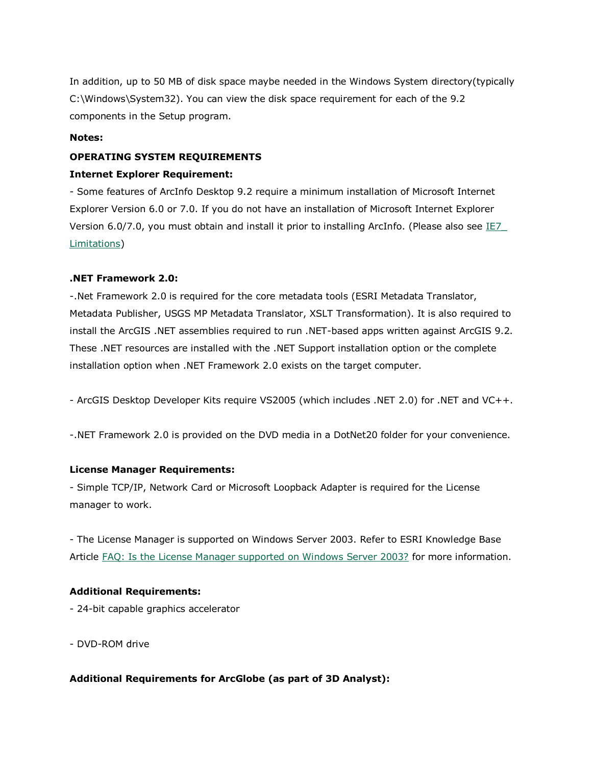In addition, up to 50 MB of disk space maybe needed in the Windows System directory(typically C:\Windows\System32). You can view the disk space requirement for each of the 9.2 components in the Setup program.

## **Notes:**

## **OPERATING SYSTEM REQUIREMENTS**

## **Internet Explorer Requirement:**

- Some features of ArcInfo Desktop 9.2 require a minimum installation of Microsoft Internet Explorer Version 6.0 or 7.0. If you do not have an installation of Microsoft Internet Explorer Version 6.0/7.0, you must obtain and install it prior to installing ArcInfo. (Please also see IE7 [Limitations\)](http://support.esri.com/index.cfm?fa=knowledgebase.systemRequirements.list&PN=ArcInfo+Desktop&pName=ArcInfo+Desktop&PVName=&PID=43&count=1&pvid=352&VID=997#IE7_Limitations)

## **.NET Framework 2.0:**

-.Net Framework 2.0 is required for the core metadata tools (ESRI Metadata Translator, Metadata Publisher, USGS MP Metadata Translator, XSLT Transformation). It is also required to install the ArcGIS .NET assemblies required to run .NET-based apps written against ArcGIS 9.2. These .NET resources are installed with the .NET Support installation option or the complete installation option when .NET Framework 2.0 exists on the target computer.

- ArcGIS Desktop Developer Kits require VS2005 (which includes .NET 2.0) for .NET and VC++.

-.NET Framework 2.0 is provided on the DVD media in a DotNet20 folder for your convenience.

## **License Manager Requirements:**

- Simple TCP/IP, Network Card or Microsoft Loopback Adapter is required for the License manager to work.

- The License Manager is supported on Windows Server 2003. Refer to ESRI Knowledge Base Article [FAQ: Is the License Manager supported on Windows Server 2003?](http://support.esri.com/index.cfm?fa=knowledgebase.techArticles.articleShow&d=26429) for more information.

## **Additional Requirements:**

- 24-bit capable graphics accelerator
- DVD-ROM drive

## **Additional Requirements for ArcGlobe (as part of 3D Analyst):**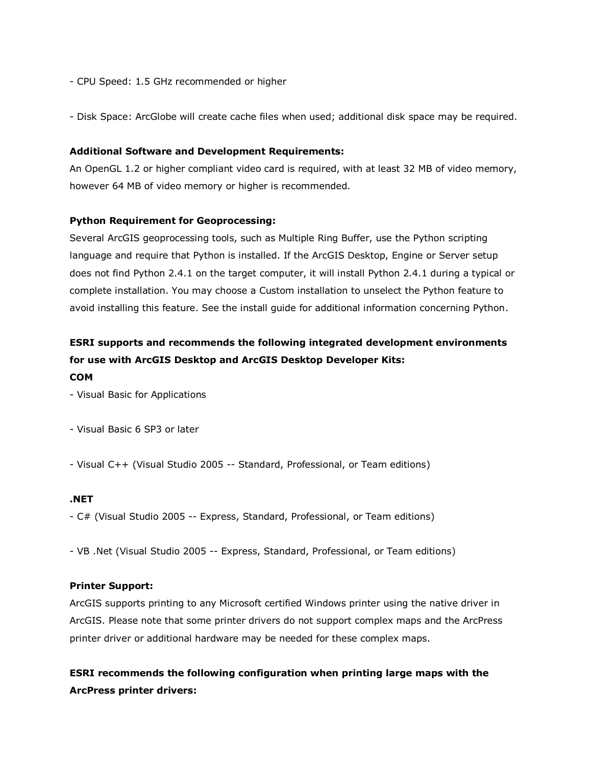- CPU Speed: 1.5 GHz recommended or higher
- Disk Space: ArcGlobe will create cache files when used; additional disk space may be required.

#### **Additional Software and Development Requirements:**

An OpenGL 1.2 or higher compliant video card is required, with at least 32 MB of video memory, however 64 MB of video memory or higher is recommended.

#### **Python Requirement for Geoprocessing:**

Several ArcGIS geoprocessing tools, such as Multiple Ring Buffer, use the Python scripting language and require that Python is installed. If the ArcGIS Desktop, Engine or Server setup does not find Python 2.4.1 on the target computer, it will install Python 2.4.1 during a typical or complete installation. You may choose a Custom installation to unselect the Python feature to avoid installing this feature. See the install guide for additional information concerning Python.

## **ESRI supports and recommends the following integrated development environments for use with ArcGIS Desktop and ArcGIS Desktop Developer Kits: COM**

- Visual Basic for Applications

- Visual Basic 6 SP3 or later
- Visual C++ (Visual Studio 2005 -- Standard, Professional, or Team editions)

## **.NET**

- C# (Visual Studio 2005 -- Express, Standard, Professional, or Team editions)
- VB .Net (Visual Studio 2005 -- Express, Standard, Professional, or Team editions)

#### **Printer Support:**

ArcGIS supports printing to any Microsoft certified Windows printer using the native driver in ArcGIS. Please note that some printer drivers do not support complex maps and the ArcPress printer driver or additional hardware may be needed for these complex maps.

**ESRI recommends the following configuration when printing large maps with the ArcPress printer drivers:**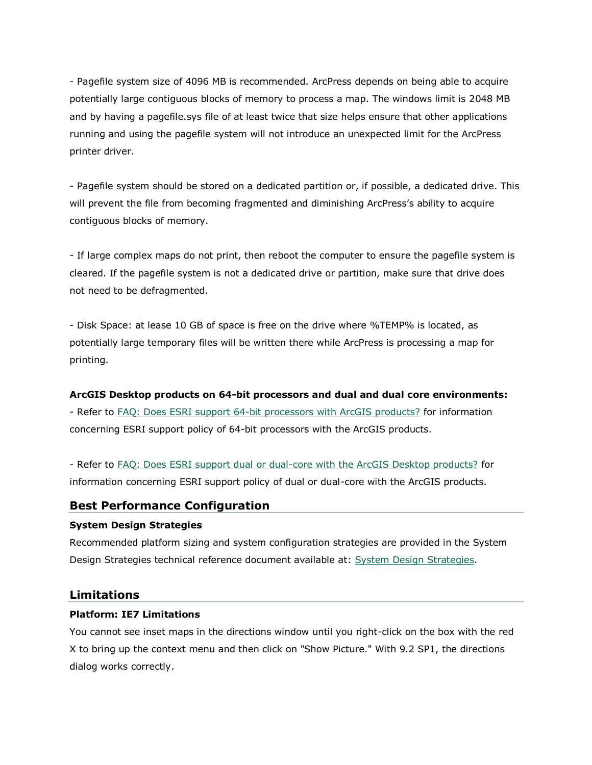- Pagefile system size of 4096 MB is recommended. ArcPress depends on being able to acquire potentially large contiguous blocks of memory to process a map. The windows limit is 2048 MB and by having a pagefile.sys file of at least twice that size helps ensure that other applications running and using the pagefile system will not introduce an unexpected limit for the ArcPress printer driver.

- Pagefile system should be stored on a dedicated partition or, if possible, a dedicated drive. This will prevent the file from becoming fragmented and diminishing ArcPress's ability to acquire contiguous blocks of memory.

- If large complex maps do not print, then reboot the computer to ensure the pagefile system is cleared. If the pagefile system is not a dedicated drive or partition, make sure that drive does not need to be defragmented.

- Disk Space: at lease 10 GB of space is free on the drive where %TEMP% is located, as potentially large temporary files will be written there while ArcPress is processing a map for printing.

## **ArcGIS Desktop products on 64-bit processors and dual and dual core environments:**

- Refer to [FAQ: Does ESRI support 64-bit processors with ArcGIS products?](http://support.esri.com/index.cfm?fa=knowledgebase.techarticles.articleShow&d=29391) for information concerning ESRI support policy of 64-bit processors with the ArcGIS products.

- Refer to [FAQ: Does ESRI support dual or dual-core with the ArcGIS Desktop products?](http://support.esri.com/index.cfm?fa=knowledgebase.techarticles.articleShow&d=31903) for information concerning ESRI support policy of dual or dual-core with the ArcGIS products.

## **Best Performance Configuration**

## **System Design Strategies**

Recommended platform sizing and system configuration strategies are provided in the System Design Strategies technical reference document available at: [System Design Strategies.](http://www.esri.com/library/whitepapers/pdfs/sysdesig.pdf)

## **Limitations**

## **Platform: IE7 Limitations**

You cannot see inset maps in the directions window until you right-click on the box with the red X to bring up the context menu and then click on "Show Picture." With 9.2 SP1, the directions dialog works correctly.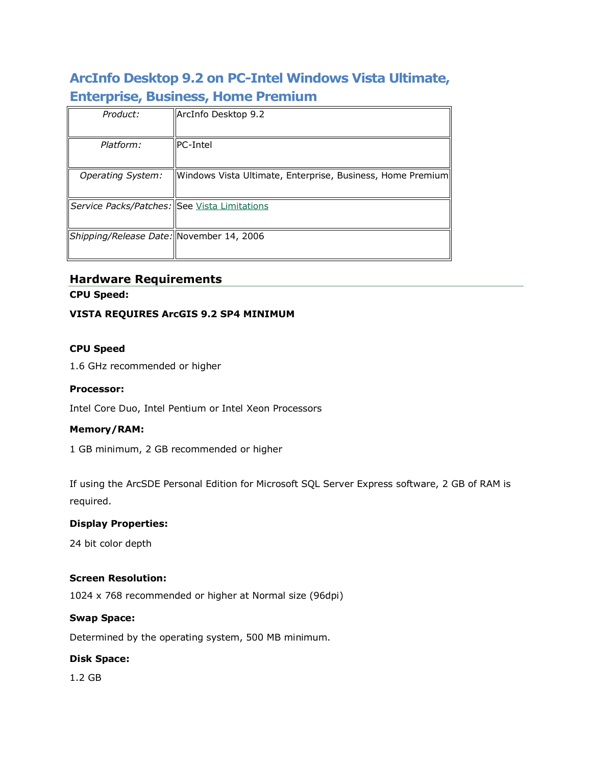## **ArcInfo Desktop 9.2 on PC-Intel Windows Vista Ultimate, Enterprise, Business, Home Premium**

| Product:                                            | ArcInfo Desktop 9.2                                        |
|-----------------------------------------------------|------------------------------------------------------------|
| Platform:                                           | llPC-Intel                                                 |
| <b>Operating System:</b>                            | Windows Vista Ultimate, Enterprise, Business, Home Premium |
| Service Packs/Patches: See <u>Vista Limitations</u> |                                                            |
| Shipping/Release Date: November 14, 2006            |                                                            |

## **Hardware Requirements**

**CPU Speed:**

## **VISTA REQUIRES ArcGIS 9.2 SP4 MINIMUM**

## **CPU Speed**

1.6 GHz recommended or higher

## **Processor:**

Intel Core Duo, Intel Pentium or Intel Xeon Processors

## **Memory/RAM:**

1 GB minimum, 2 GB recommended or higher

If using the ArcSDE Personal Edition for Microsoft SQL Server Express software, 2 GB of RAM is required.

## **Display Properties:**

24 bit color depth

## **Screen Resolution:**

1024 x 768 recommended or higher at Normal size (96dpi)

## **Swap Space:**

Determined by the operating system, 500 MB minimum.

## **Disk Space:**

1.2 GB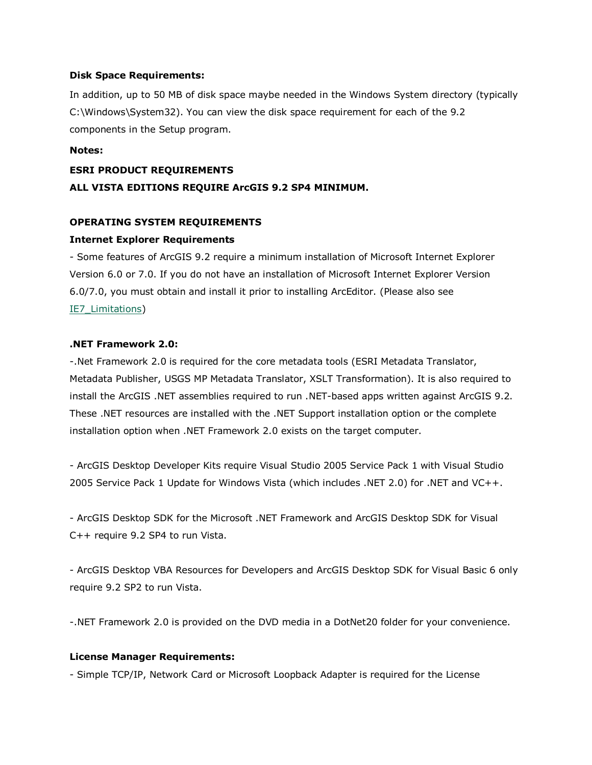#### **Disk Space Requirements:**

In addition, up to 50 MB of disk space maybe needed in the Windows System directory (typically C:\Windows\System32). You can view the disk space requirement for each of the 9.2 components in the Setup program.

#### **Notes:**

## **ESRI PRODUCT REQUIREMENTS**

## **ALL VISTA EDITIONS REQUIRE ArcGIS 9.2 SP4 MINIMUM.**

## **OPERATING SYSTEM REQUIREMENTS**

## **Internet Explorer Requirements**

- Some features of ArcGIS 9.2 require a minimum installation of Microsoft Internet Explorer Version 6.0 or 7.0. If you do not have an installation of Microsoft Internet Explorer Version 6.0/7.0, you must obtain and install it prior to installing ArcEditor. (Please also see IE7 Limitations)

## **.NET Framework 2.0:**

-.Net Framework 2.0 is required for the core metadata tools (ESRI Metadata Translator, Metadata Publisher, USGS MP Metadata Translator, XSLT Transformation). It is also required to install the ArcGIS .NET assemblies required to run .NET-based apps written against ArcGIS 9.2. These .NET resources are installed with the .NET Support installation option or the complete installation option when .NET Framework 2.0 exists on the target computer.

- ArcGIS Desktop Developer Kits require Visual Studio 2005 Service Pack 1 with Visual Studio 2005 Service Pack 1 Update for Windows Vista (which includes .NET 2.0) for .NET and VC++.

- ArcGIS Desktop SDK for the Microsoft .NET Framework and ArcGIS Desktop SDK for Visual C++ require 9.2 SP4 to run Vista.

- ArcGIS Desktop VBA Resources for Developers and ArcGIS Desktop SDK for Visual Basic 6 only require 9.2 SP2 to run Vista.

-.NET Framework 2.0 is provided on the DVD media in a DotNet20 folder for your convenience.

## **License Manager Requirements:**

- Simple TCP/IP, Network Card or Microsoft Loopback Adapter is required for the License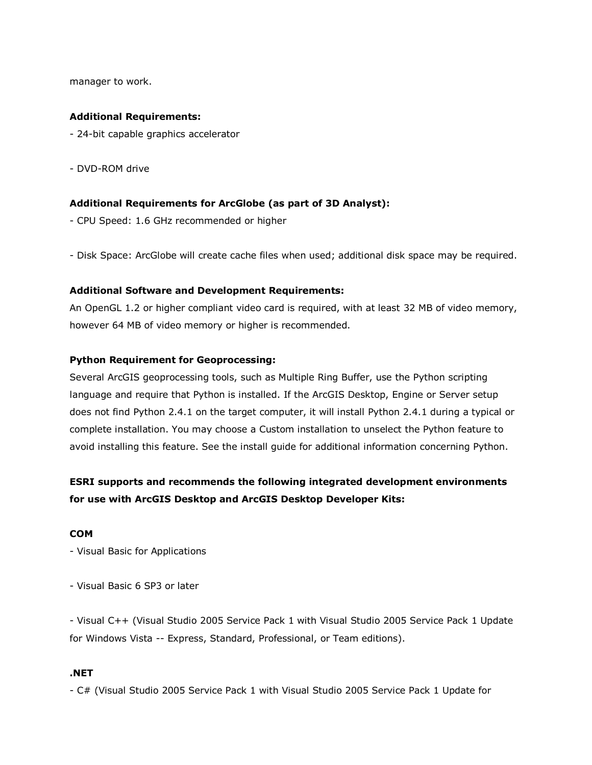manager to work.

#### **Additional Requirements:**

- 24-bit capable graphics accelerator
- DVD-ROM drive

#### **Additional Requirements for ArcGlobe (as part of 3D Analyst):**

- CPU Speed: 1.6 GHz recommended or higher

- Disk Space: ArcGlobe will create cache files when used; additional disk space may be required.

#### **Additional Software and Development Requirements:**

An OpenGL 1.2 or higher compliant video card is required, with at least 32 MB of video memory, however 64 MB of video memory or higher is recommended.

#### **Python Requirement for Geoprocessing:**

Several ArcGIS geoprocessing tools, such as Multiple Ring Buffer, use the Python scripting language and require that Python is installed. If the ArcGIS Desktop, Engine or Server setup does not find Python 2.4.1 on the target computer, it will install Python 2.4.1 during a typical or complete installation. You may choose a Custom installation to unselect the Python feature to avoid installing this feature. See the install guide for additional information concerning Python.

## **ESRI supports and recommends the following integrated development environments for use with ArcGIS Desktop and ArcGIS Desktop Developer Kits:**

#### **COM**

- Visual Basic for Applications

- Visual Basic 6 SP3 or later

- Visual C++ (Visual Studio 2005 Service Pack 1 with Visual Studio 2005 Service Pack 1 Update for Windows Vista -- Express, Standard, Professional, or Team editions).

#### **.NET**

- C# (Visual Studio 2005 Service Pack 1 with Visual Studio 2005 Service Pack 1 Update for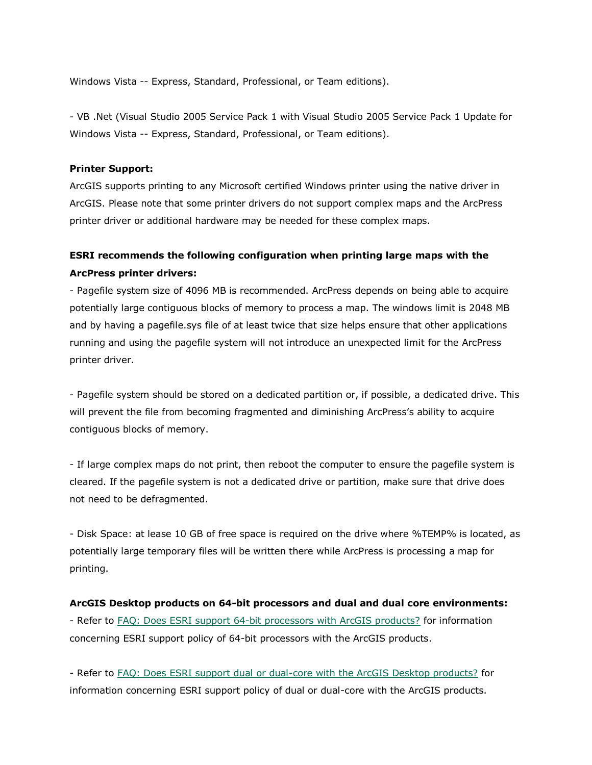Windows Vista -- Express, Standard, Professional, or Team editions).

- VB .Net (Visual Studio 2005 Service Pack 1 with Visual Studio 2005 Service Pack 1 Update for Windows Vista -- Express, Standard, Professional, or Team editions).

#### **Printer Support:**

ArcGIS supports printing to any Microsoft certified Windows printer using the native driver in ArcGIS. Please note that some printer drivers do not support complex maps and the ArcPress printer driver or additional hardware may be needed for these complex maps.

## **ESRI recommends the following configuration when printing large maps with the ArcPress printer drivers:**

- Pagefile system size of 4096 MB is recommended. ArcPress depends on being able to acquire potentially large contiguous blocks of memory to process a map. The windows limit is 2048 MB and by having a pagefile.sys file of at least twice that size helps ensure that other applications running and using the pagefile system will not introduce an unexpected limit for the ArcPress printer driver.

- Pagefile system should be stored on a dedicated partition or, if possible, a dedicated drive. This will prevent the file from becoming fragmented and diminishing ArcPress's ability to acquire contiguous blocks of memory.

- If large complex maps do not print, then reboot the computer to ensure the pagefile system is cleared. If the pagefile system is not a dedicated drive or partition, make sure that drive does not need to be defragmented.

- Disk Space: at lease 10 GB of free space is required on the drive where %TEMP% is located, as potentially large temporary files will be written there while ArcPress is processing a map for printing.

## **ArcGIS Desktop products on 64-bit processors and dual and dual core environments:** - Refer to **FAQ: Does ESRI support 64-bit processors** with ArcGIS products? for information concerning ESRI support policy of 64-bit processors with the ArcGIS products.

- Refer to [FAQ: Does ESRI support dual or dual-core with the ArcGIS Desktop products?](http://support.esri.com/index.cfm?fa=knowledgebase.techarticles.articleShow&d=31903) for information concerning ESRI support policy of dual or dual-core with the ArcGIS products.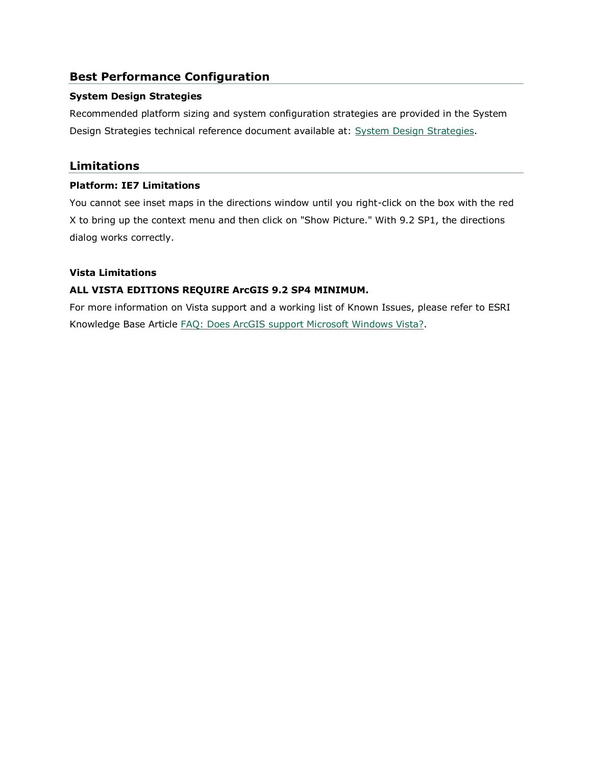## **Best Performance Configuration**

## **System Design Strategies**

Recommended platform sizing and system configuration strategies are provided in the System Design Strategies technical reference document available at: [System Design Strategies.](http://www.esri.com/library/whitepapers/pdfs/sysdesig.pdf)

## **Limitations**

## **Platform: IE7 Limitations**

You cannot see inset maps in the directions window until you right-click on the box with the red X to bring up the context menu and then click on "Show Picture." With 9.2 SP1, the directions dialog works correctly.

## **Vista Limitations**

## **ALL VISTA EDITIONS REQUIRE ArcGIS 9.2 SP4 MINIMUM.**

For more information on Vista support and a working list of Known Issues, please refer to ESRI Knowledge Base Article [FAQ: Does ArcGIS support Microsoft Windows Vista?.](http://support.esri.com/index.cfm?fa=knowledgebase.techArticles.articleShow&d=34020)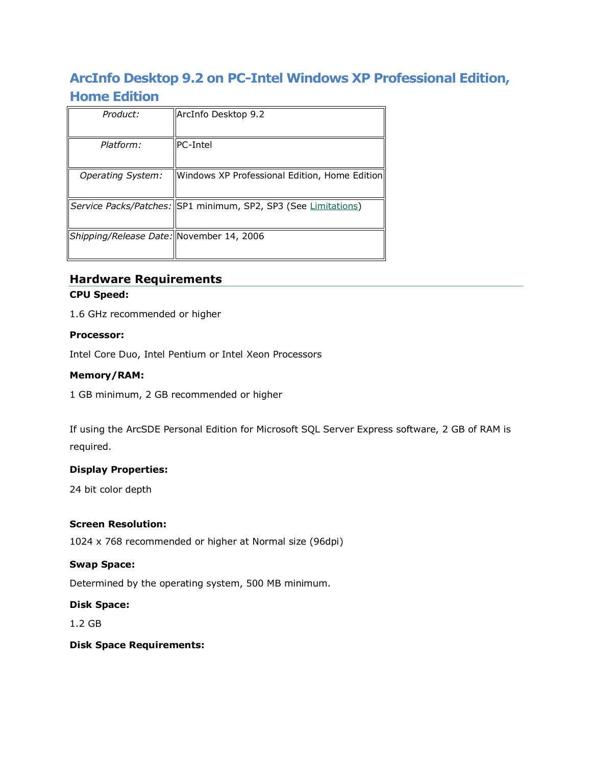## **ArcInfo Desktop 9.2 on PC-Intel Windows XP Professional Edition, Home Edition**

| Product:                                 | ArcInfo Desktop 9.2                                            |
|------------------------------------------|----------------------------------------------------------------|
| Platform:                                | IPC-Intel                                                      |
| Operating System:                        | Windows XP Professional Edition, Home Edition                  |
|                                          | Service Packs/Patches: SP1 minimum, SP2, SP3 (See Limitations) |
| Shipping/Release Date: November 14, 2006 |                                                                |
|                                          |                                                                |

# **Hardware Requirements**

## **CPU Speed:**

1.6 GHz recommended or higher

## **Processor:**

Intel Core Duo, Intel Pentium or Intel Xeon Processors

## **Memory/RAM:**

1 GB minimum, 2 GB recommended or higher

If using the ArcSDE Personal Edition for Microsoft SQL Server Express software, 2 GB of RAM is required.

## **Display Properties:**

24 bit color depth

## **Screen Resolution:**

1024 x 768 recommended or higher at Normal size (96dpi)

## **Swap Space:**

Determined by the operating system, 500 MB minimum.

## **Disk Space:**

1.2 GB

## **Disk Space Requirements:**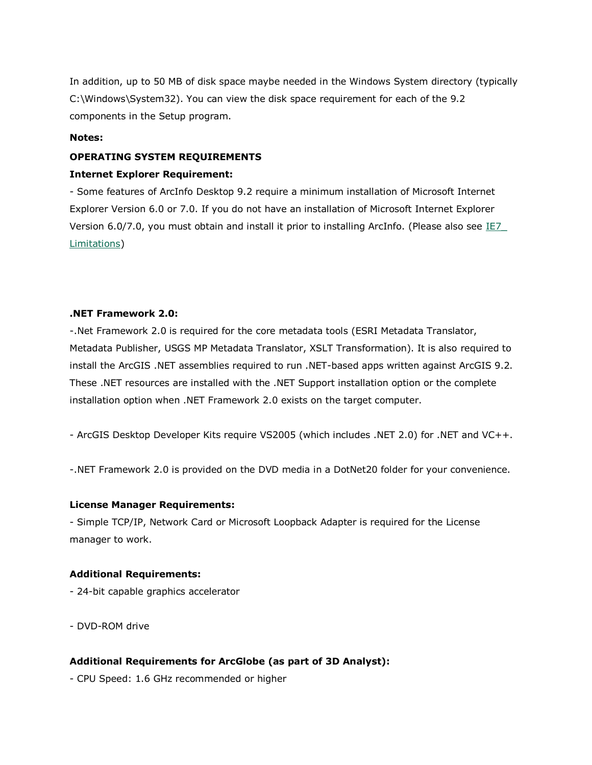In addition, up to 50 MB of disk space maybe needed in the Windows System directory (typically C:\Windows\System32). You can view the disk space requirement for each of the 9.2 components in the Setup program.

## **Notes:**

#### **OPERATING SYSTEM REQUIREMENTS**

#### **Internet Explorer Requirement:**

- Some features of ArcInfo Desktop 9.2 require a minimum installation of Microsoft Internet Explorer Version 6.0 or 7.0. If you do not have an installation of Microsoft Internet Explorer Version 6.0/7.0, you must obtain and install it prior to installing ArcInfo. (Please also see IE7 [Limitations\)](http://support.esri.com/index.cfm?fa=knowledgebase.systemRequirements.list&PN=ArcInfo+Desktop&pName=ArcInfo+Desktop&PVName=&PID=43&count=1&pvid=352&VID=945#IE7_Limitations)

## **.NET Framework 2.0:**

-.Net Framework 2.0 is required for the core metadata tools (ESRI Metadata Translator, Metadata Publisher, USGS MP Metadata Translator, XSLT Transformation). It is also required to install the ArcGIS .NET assemblies required to run .NET-based apps written against ArcGIS 9.2. These .NET resources are installed with the .NET Support installation option or the complete installation option when .NET Framework 2.0 exists on the target computer.

- ArcGIS Desktop Developer Kits require VS2005 (which includes .NET 2.0) for .NET and VC++.

-.NET Framework 2.0 is provided on the DVD media in a DotNet20 folder for your convenience.

## **License Manager Requirements:**

- Simple TCP/IP, Network Card or Microsoft Loopback Adapter is required for the License manager to work.

#### **Additional Requirements:**

- 24-bit capable graphics accelerator

- DVD-ROM drive

## **Additional Requirements for ArcGlobe (as part of 3D Analyst):**

- CPU Speed: 1.6 GHz recommended or higher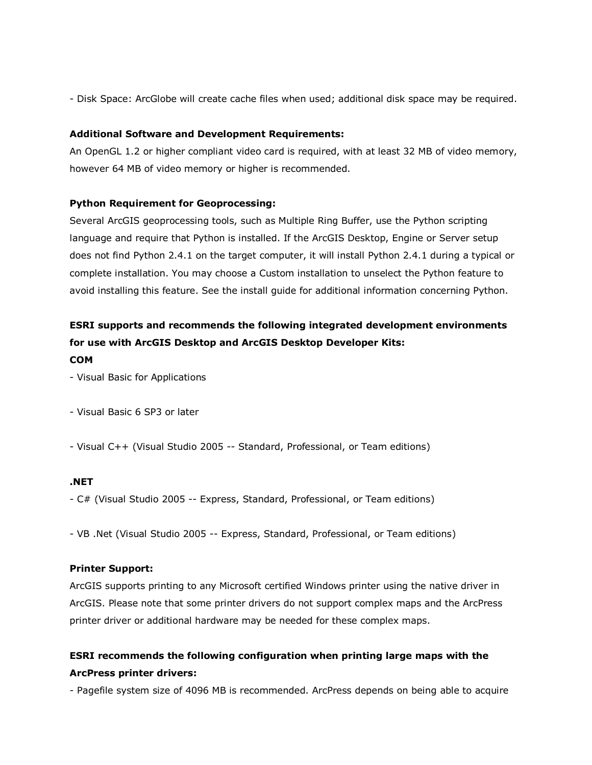- Disk Space: ArcGlobe will create cache files when used; additional disk space may be required.

#### **Additional Software and Development Requirements:**

An OpenGL 1.2 or higher compliant video card is required, with at least 32 MB of video memory, however 64 MB of video memory or higher is recommended.

#### **Python Requirement for Geoprocessing:**

Several ArcGIS geoprocessing tools, such as Multiple Ring Buffer, use the Python scripting language and require that Python is installed. If the ArcGIS Desktop, Engine or Server setup does not find Python 2.4.1 on the target computer, it will install Python 2.4.1 during a typical or complete installation. You may choose a Custom installation to unselect the Python feature to avoid installing this feature. See the install guide for additional information concerning Python.

## **ESRI supports and recommends the following integrated development environments for use with ArcGIS Desktop and ArcGIS Desktop Developer Kits: COM**

- Visual Basic for Applications
- Visual Basic 6 SP3 or later
- Visual C++ (Visual Studio 2005 -- Standard, Professional, or Team editions)

#### **.NET**

- C# (Visual Studio 2005 -- Express, Standard, Professional, or Team editions)
- VB .Net (Visual Studio 2005 -- Express, Standard, Professional, or Team editions)

## **Printer Support:**

ArcGIS supports printing to any Microsoft certified Windows printer using the native driver in ArcGIS. Please note that some printer drivers do not support complex maps and the ArcPress printer driver or additional hardware may be needed for these complex maps.

## **ESRI recommends the following configuration when printing large maps with the ArcPress printer drivers:**

- Pagefile system size of 4096 MB is recommended. ArcPress depends on being able to acquire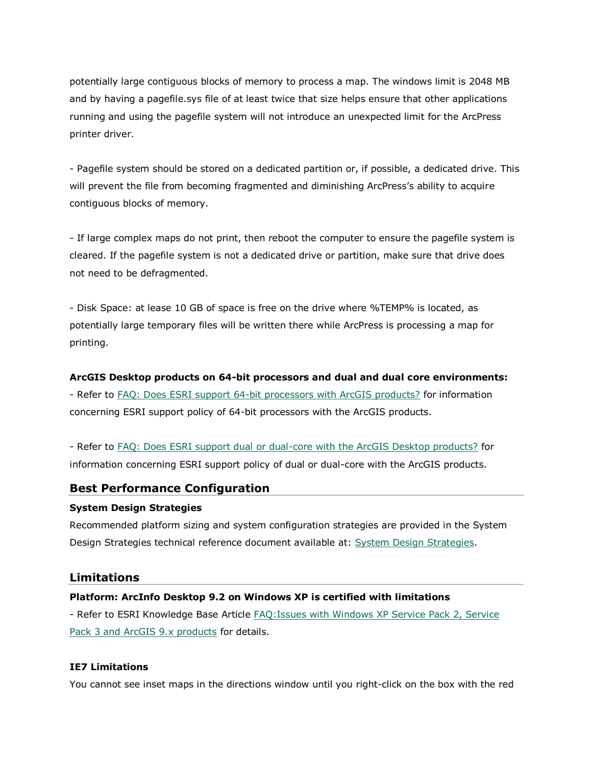potentially large contiguous blocks of memory to process a map. The windows limit is 2048 MB and by having a pagefile.sys file of at least twice that size helps ensure that other applications running and using the pagefile system will not introduce an unexpected limit for the ArcPress printer driver.

- Pagefile system should be stored on a dedicated partition or, if possible, a dedicated drive. This will prevent the file from becoming fragmented and diminishing ArcPress's ability to acquire contiguous blocks of memory.

- If large complex maps do not print, then reboot the computer to ensure the pagefile system is cleared. If the pagefile system is not a dedicated drive or partition, make sure that drive does not need to be defragmented.

- Disk Space: at lease 10 GB of space is free on the drive where %TEMP% is located, as potentially large temporary files will be written there while ArcPress is processing a map for printing.

## **ArcGIS Desktop products on 64-bit processors and dual and dual core environments:**

- Refer to [FAQ: Does ESRI support 64-bit processors with ArcGIS products?](http://support.esri.com/index.cfm?fa=knowledgebase.techarticles.articleShow&d=29391) for information concerning ESRI support policy of 64-bit processors with the ArcGIS products.

- Refer to [FAQ: Does ESRI support dual or dual-core with the ArcGIS Desktop products?](http://support.esri.com/index.cfm?fa=knowledgebase.techarticles.articleShow&d=31903) for information concerning ESRI support policy of dual or dual-core with the ArcGIS products.

## **Best Performance Configuration**

#### **System Design Strategies**

Recommended platform sizing and system configuration strategies are provided in the System Design Strategies technical reference document available at: [System Design Strategies.](http://www.esri.com/library/whitepapers/pdfs/sysdesig.pdf)

## **Limitations**

## **Platform: ArcInfo Desktop 9.2 on Windows XP is certified with limitations**

- Refer to ESRI Knowledge Base Article [FAQ:Issues with Windows XP Service Pack 2, Service](http://support.esri.com/index.cfm?fa=knowledgebase.techArticles.articleShow&d=28655)  [Pack 3 and ArcGIS 9.x products](http://support.esri.com/index.cfm?fa=knowledgebase.techArticles.articleShow&d=28655) for details.

## **IE7 Limitations**

You cannot see inset maps in the directions window until you right-click on the box with the red